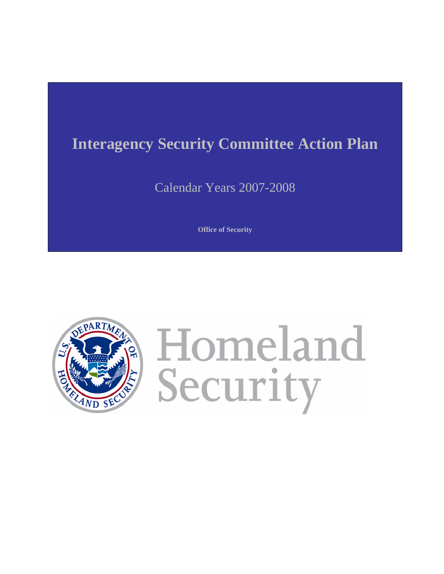# **Interagency Security Committee Action Plan**

Calendar Years 2007-2008

**Office of Security** 



Homeland Security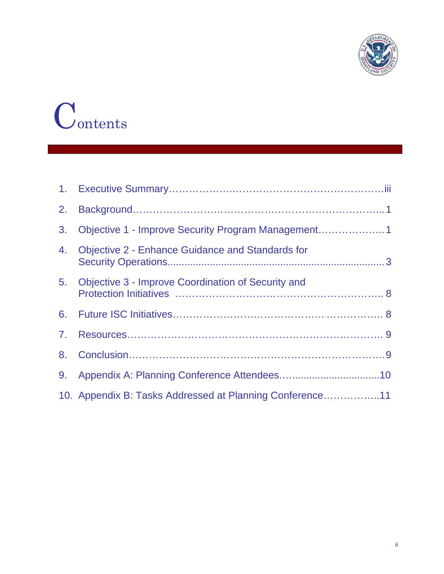

# Contents

| 2.             |                                                          |
|----------------|----------------------------------------------------------|
| 3 <sub>1</sub> | Objective 1 - Improve Security Program Management1       |
| 4.             | <b>Objective 2 - Enhance Guidance and Standards for</b>  |
|                | 5. Objective 3 - Improve Coordination of Security and    |
| 6.             |                                                          |
| 7.             |                                                          |
| 8.             |                                                          |
| 9.             |                                                          |
|                | 10. Appendix B: Tasks Addressed at Planning Conference11 |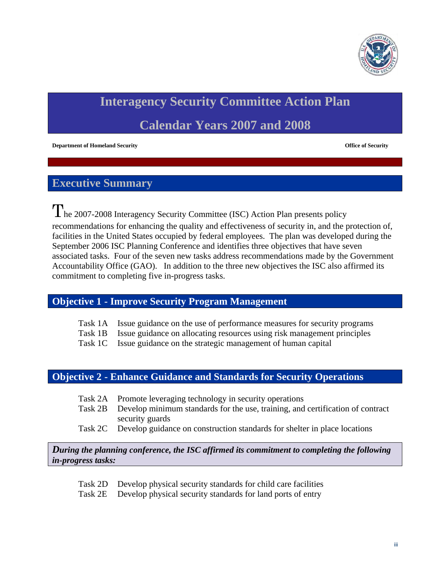

# **Interagency Security Committee Action Plan**

# **Calendar Years 2007 and 2008**

**Department of Homeland Security and Security in the Security of Security of Security of Security and Security of Security and Security of Security and Security and Security and Security and Security and Security and Secur** 

# **Executive Summary**

The 2007-2008 Interagency Security Committee (ISC) Action Plan presents policy recommendations for enhancing the quality and effectiveness of security in, and the protection of, facilities in the United States occupied by federal employees. The plan was developed during the September 2006 ISC Planning Conference and identifies three objectives that have seven associated tasks. Four of the seven new tasks address recommendations made by the Government Accountability Office (GAO). In addition to the three new objectives the ISC also affirmed its commitment to completing five in-progress tasks.

## **Objective 1 - Improve Security Program Management**

- Task 1A Issue guidance on the use of performance measures for security programs
- Task 1B Issue guidance on allocating resources using risk management principles
- Task 1C Issue guidance on the strategic management of human capital

## **Objective 2 - Enhance Guidance and Standards for Security Operations**

- Task 2A Promote leveraging technology in security operations
- Task 2B Develop minimum standards for the use, training, and certification of contract security guards
- Task 2C Develop guidance on construction standards for shelter in place locations

*During the planning conference, the ISC affirmed its commitment to completing the following in-progress tasks:* 

Task 2D Develop physical security standards for child care facilities

Task 2E Develop physical security standards for land ports of entry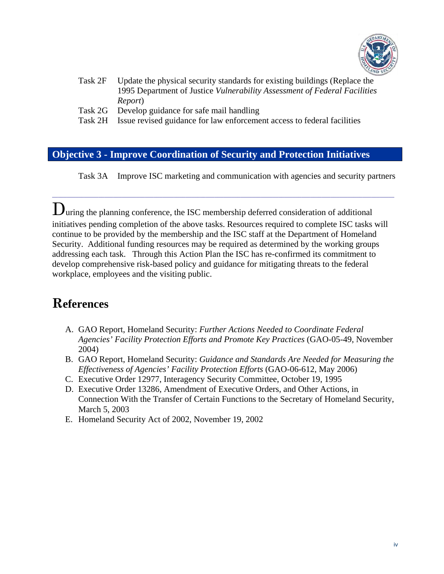

- Task 2F Update the physical security standards for existing buildings (Replace the 1995 Department of Justice *Vulnerability Assessment of Federal Facilities* Report *Report*)
- Task 2G Develop guidance for safe mail handling
- Task 2H Issue revised guidance for law enforcement access to federal facilities

# **Objective 3 - Improve Coordination of Security and Protection Initiatives**

Task 3A Improve ISC marketing and communication with agencies and security partners

During the planning conference, the ISC membership deferred consideration of additional initiatives pending completion of the above tasks. Resources required to complete ISC tasks will continue to be provided by the membership and the ISC staff at the Department of Homeland Security. Additional funding resources may be required as determined by the working groups addressing each task. Through this Action Plan the ISC has re-confirmed its commitment to develop comprehensive risk-based policy and guidance for mitigating threats to the federal workplace, employees and the visiting public.

 $\_$  , and the state of the state of the state of the state of the state of the state of the state of the state of the state of the state of the state of the state of the state of the state of the state of the state of the

# **References**

- A. GAO Report, Homeland Security: *Further Actions Needed to Coordinate Federal Agencies' Facility Protection Efforts and Promote Key Practices* (GAO-05-49, November 2004)
- B. GAO Report, Homeland Security: *Guidance and Standards Are Needed for Measuring the Effectiveness of Agencies' Facility Protection Efforts* (GAO-06-612, May 2006)
- C. Executive Order 12977, Interagency Security Committee, October 19, 1995
- D. Executive Order 13286, Amendment of Executive Orders, and Other Actions, in Connection With the Transfer of Certain Functions to the Secretary of Homeland Security, March 5, 2003
- E. Homeland Security Act of 2002, November 19, 2002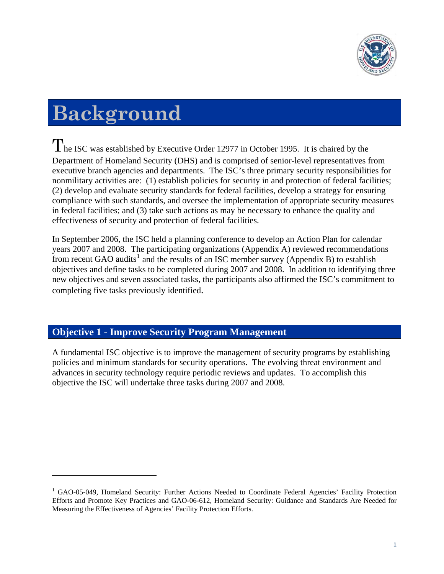

# **Background**

 $\overline{a}$ 

The ISC was established by Executive Order 12977 in October 1995. It is chaired by the Department of Homeland Security (DHS) and is comprised of senior-level representatives from executive branch agencies and departments. The ISC's three primary security responsibilities for nonmilitary activities are: (1) establish policies for security in and protection of federal facilities; (2) develop and evaluate security standards for federal facilities, develop a strategy for ensuring compliance with such standards, and oversee the implementation of appropriate security measures in federal facilities; and (3) take such actions as may be necessary to enhance the quality and effectiveness of security and protection of federal facilities.

In September 2006, the ISC held a planning conference to develop an Action Plan for calendar years 2007 and 2008. The participating organizations (Appendix A) reviewed recommendations from recent GAO audits<sup>[1](#page-4-0)</sup> and the results of an ISC member survey (Appendix B) to establish objectives and define tasks to be completed during 2007 and 2008. In addition to identifying three new objectives and seven associated tasks, the participants also affirmed the ISC's commitment to completing five tasks previously identified.

# **Objective 1 - Improve Security Program Management**

A fundamental ISC objective is to improve the management of security programs by establishing policies and minimum standards for security operations. The evolving threat environment and advances in security technology require periodic reviews and updates. To accomplish this objective the ISC will undertake three tasks during 2007 and 2008.

<span id="page-4-0"></span><sup>&</sup>lt;sup>1</sup> GAO-05-049, Homeland Security: Further Actions Needed to Coordinate Federal Agencies' Facility Protection Efforts and Promote Key Practices and GAO-06-612, Homeland Security: Guidance and Standards Are Needed for Measuring the Effectiveness of Agencies' Facility Protection Efforts.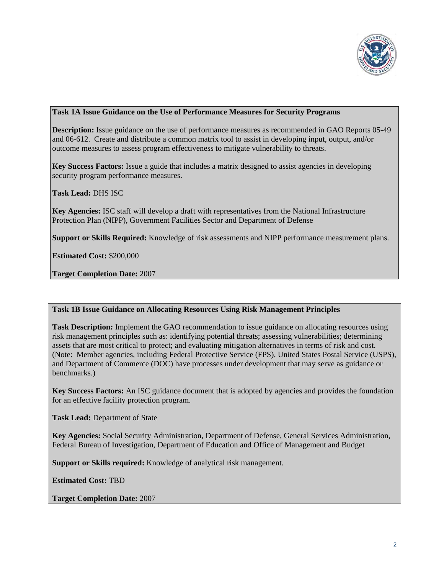

#### **Task 1A Issue Guidance on the Use of Performance Measures for Security Programs**

**Description:** Issue guidance on the use of performance measures as recommended in GAO Reports 05-49 and 06-612. Create and distribute a common matrix tool to assist in developing input, output, and/or outcome measures to assess program effectiveness to mitigate vulnerability to threats.

**Key Success Factors:** Issue a guide that includes a matrix designed to assist agencies in developing security program performance measures.

**Task Lead:** DHS ISC

**Key Agencies:** ISC staff will develop a draft with representatives from the National Infrastructure Protection Plan (NIPP), Government Facilities Sector and Department of Defense

**Support or Skills Required:** Knowledge of risk assessments and NIPP performance measurement plans.

**Estimated Cost:** \$200,000

**Target Completion Date:** 2007

#### **Task 1B Issue Guidance on Allocating Resources Using Risk Management Principles**

**Task Description:** Implement the GAO recommendation to issue guidance on allocating resources using risk management principles such as: identifying potential threats; assessing vulnerabilities; determining assets that are most critical to protect; and evaluating mitigation alternatives in terms of risk and cost. (Note: Member agencies, including Federal Protective Service (FPS), United States Postal Service (USPS), and Department of Commerce (DOC) have processes under development that may serve as guidance or benchmarks.)

**Key Success Factors:** An ISC guidance document that is adopted by agencies and provides the foundation for an effective facility protection program.

**Task Lead:** Department of State

**Key Agencies:** Social Security Administration, Department of Defense, General Services Administration, Federal Bureau of Investigation, Department of Education and Office of Management and Budget

**Support or Skills required:** Knowledge of analytical risk management.

**Estimated Cost:** TBD

**Target Completion Date:** 2007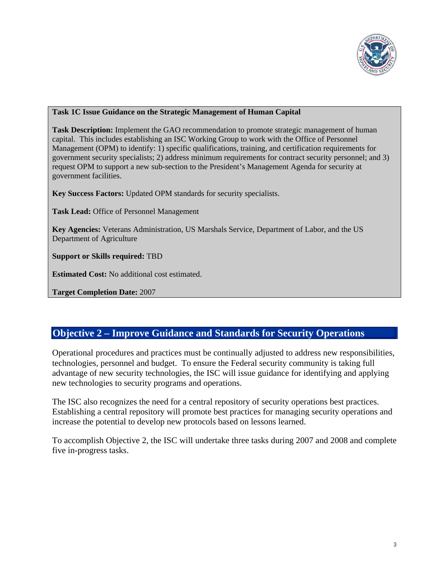

#### **Task 1C Issue Guidance on the Strategic Management of Human Capital**

**Task Description:** Implement the GAO recommendation to promote strategic management of human capital. This includes establishing an ISC Working Group to work with the Office of Personnel Management (OPM) to identify: 1) specific qualifications, training, and certification requirements for government security specialists; 2) address minimum requirements for contract security personnel; and 3) request OPM to support a new sub-section to the President's Management Agenda for security at government facilities.

**Key Success Factors:** Updated OPM standards for security specialists.

**Task Lead:** Office of Personnel Management

**Key Agencies:** Veterans Administration, US Marshals Service, Department of Labor, and the US Department of Agriculture

**Support or Skills required:** TBD

**Estimated Cost:** No additional cost estimated.

**Target Completion Date:** 2007

## **Objective 2 – Improve Guidance and Standards for Security Operations**

Operational procedures and practices must be continually adjusted to address new responsibilities, technologies, personnel and budget. To ensure the Federal security community is taking full advantage of new security technologies, the ISC will issue guidance for identifying and applying new technologies to security programs and operations.

The ISC also recognizes the need for a central repository of security operations best practices. Establishing a central repository will promote best practices for managing security operations and increase the potential to develop new protocols based on lessons learned.

To accomplish Objective 2, the ISC will undertake three tasks during 2007 and 2008 and complete five in-progress tasks.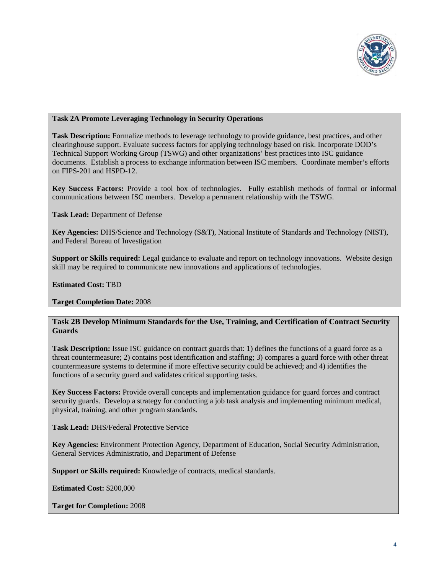

#### **Task 2A Promote Leveraging Technology in Security Operations**

**Task Description:** Formalize methods to leverage technology to provide guidance, best practices, and other clearinghouse support. Evaluate success factors for applying technology based on risk. Incorporate DOD's Technical Support Working Group (TSWG) and other organizations' best practices into ISC guidance documents. Establish a process to exchange information between ISC members. Coordinate member's efforts on FIPS-201 and HSPD-12.

**Key Success Factors:** Provide a tool box of technologies. Fully establish methods of formal or informal communications between ISC members. Develop a permanent relationship with the TSWG.

**Task Lead:** Department of Defense

**Key Agencies:** DHS/Science and Technology (S&T), National Institute of Standards and Technology (NIST), and Federal Bureau of Investigation

**Support or Skills required:** Legal guidance to evaluate and report on technology innovations. Website design skill may be required to communicate new innovations and applications of technologies.

**Estimated Cost:** TBD

**Target Completion Date:** 2008

#### **Task 2B Develop Minimum Standards for the Use, Training, and Certification of Contract Security Guards**

**Task Description:** Issue ISC guidance on contract guards that: 1) defines the functions of a guard force as a threat countermeasure; 2) contains post identification and staffing; 3) compares a guard force with other threat countermeasure systems to determine if more effective security could be achieved; and 4) identifies the functions of a security guard and validates critical supporting tasks.

**Key Success Factors:** Provide overall concepts and implementation guidance for guard forces and contract security guards. Develop a strategy for conducting a job task analysis and implementing minimum medical, physical, training, and other program standards.

**Task Lead:** DHS/Federal Protective Service

**Key Agencies:** Environment Protection Agency, Department of Education, Social Security Administration, General Services Administratio, and Department of Defense

**Support or Skills required:** Knowledge of contracts, medical standards.

**Estimated Cost:** \$200,000

**Target for Completion:** 2008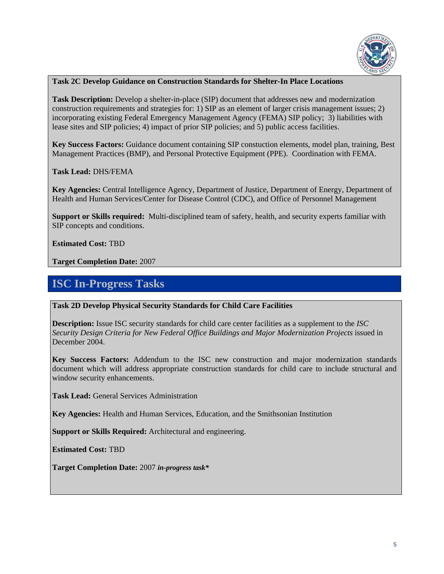

#### **Task 2C Develop Guidance on Construction Standards for Shelter-In Place Locations**

Task Description: Develop a shelter-in-place (SIP) document that addresses new and modernization construction requirements and strategies for: 1) SIP as an element of larger crisis management issues; 2) incorporating existing Federal Emergency Management Agency (FEMA) SIP policy; 3) liabilities with lease sites and SIP policies; 4) impact of prior SIP policies; and 5) public access facilities.

**Key Success Factors:** Guidance document containing SIP constuction elements, model plan, training, Best Management Practices (BMP), and Personal Protective Equipment (PPE). Coordination with FEMA.

**Task Lead:** DHS/FEMA

**Key Agencies:** Central Intelligence Agency, Department of Justice, Department of Energy, Department of Health and Human Services/Center for Disease Control (CDC), and Office of Personnel Management

**Support or Skills required:** Multi-disciplined team of safety, health, and security experts familiar with SIP concepts and conditions.

**Estimated Cost:** TBD

**Target Completion Date:** 2007

# **ISC In-Progress Tasks**

#### **Task 2D Develop Physical Security Standards for Child Care Facilities**

**Description:** Issue ISC security standards for child care center facilities as a supplement to the *ISC Security Design Criteria for New Federal Office Buildings and Major Modernization Projects* issued in December 2004.

**Key Success Factors:** Addendum to the ISC new construction and major modernization standards document which will address appropriate construction standards for child care to include structural and window security enhancements.

**Task Lead:** General Services Administration

**Key Agencies:** Health and Human Services, Education, and the Smithsonian Institution

**Support or Skills Required:** Architectural and engineering.

**Estimated Cost:** TBD

**Target Completion Date:** 2007 *in-progress task\**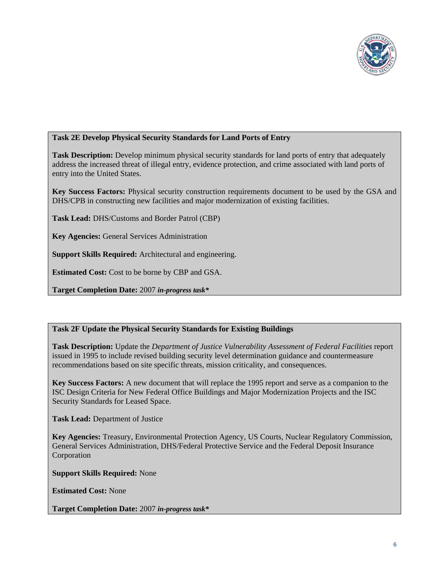

#### **Task 2E Develop Physical Security Standards for Land Ports of Entry**

**Task Description:** Develop minimum physical security standards for land ports of entry that adequately address the increased threat of illegal entry, evidence protection, and crime associated with land ports of entry into the United States.

**Key Success Factors:** Physical security construction requirements document to be used by the GSA and DHS/CPB in constructing new facilities and major modernization of existing facilities.

**Task Lead:** DHS/Customs and Border Patrol (CBP)

**Key Agencies:** General Services Administration

**Support Skills Required:** Architectural and engineering.

**Estimated Cost:** Cost to be borne by CBP and GSA.

**Target Completion Date:** 2007 *in-progress task\** 

#### **Task 2F Update the Physical Security Standards for Existing Buildings**

**Task Description:** Update the *Department of Justice Vulnerability Assessment of Federal Facilities* report issued in 1995 to include revised building security level determination guidance and countermeasure recommendations based on site specific threats, mission criticality, and consequences.

**Key Success Factors:** A new document that will replace the 1995 report and serve as a companion to the ISC Design Criteria for New Federal Office Buildings and Major Modernization Projects and the ISC Security Standards for Leased Space.

**Task Lead:** Department of Justice

**Key Agencies:** Treasury, Environmental Protection Agency, US Courts, Nuclear Regulatory Commission, General Services Administration, DHS/Federal Protective Service and the Federal Deposit Insurance Corporation

**Support Skills Required:** None

**Estimated Cost:** None

**Target Completion Date:** 2007 *in-progress task\**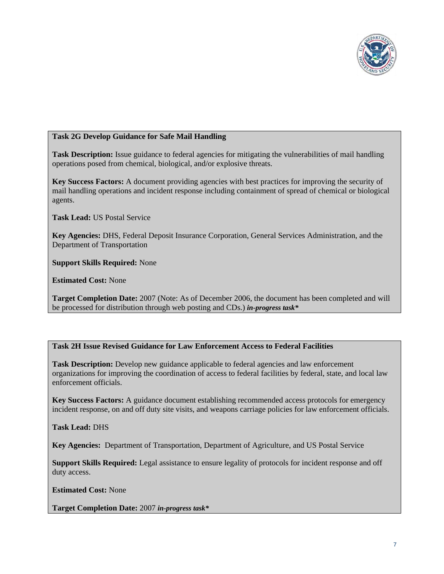

#### **Task 2G Develop Guidance for Safe Mail Handling**

**Task Description:** Issue guidance to federal agencies for mitigating the vulnerabilities of mail handling operations posed from chemical, biological, and/or explosive threats.

**Key Success Factors:** A document providing agencies with best practices for improving the security of mail handling operations and incident response including containment of spread of chemical or biological agents.

**Task Lead:** US Postal Service

**Key Agencies:** DHS, Federal Deposit Insurance Corporation, General Services Administration, and the Department of Transportation

**Support Skills Required:** None

**Estimated Cost:** None

**Target Completion Date:** 2007 (Note: As of December 2006, the document has been completed and will be processed for distribution through web posting and CDs.) *in-progress task\**

#### **Task 2H Issue Revised Guidance for Law Enforcement Access to Federal Facilities**

**Task Description:** Develop new guidance applicable to federal agencies and law enforcement organizations for improving the coordination of access to federal facilities by federal, state, and local law enforcement officials.

**Key Success Factors:** A guidance document establishing recommended access protocols for emergency incident response, on and off duty site visits, and weapons carriage policies for law enforcement officials.

**Task Lead:** DHS

**Key Agencies:** Department of Transportation, Department of Agriculture, and US Postal Service

**Support Skills Required:** Legal assistance to ensure legality of protocols for incident response and off duty access.

**Estimated Cost:** None

**Target Completion Date:** 2007 *in-progress task\**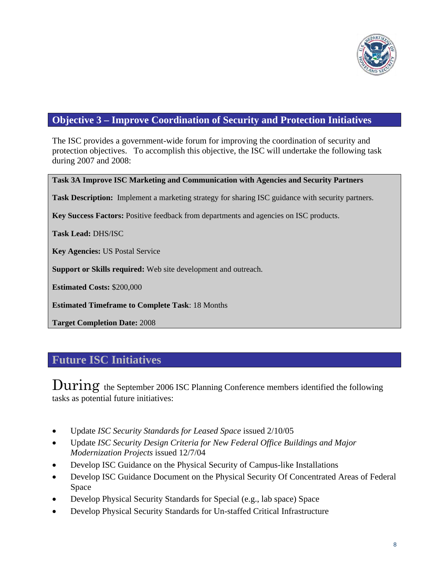

# **Objective 3 – Improve Coordination of Security and Protection Initiatives**

The ISC provides a government-wide forum for improving the coordination of security and protection objectives. To accomplish this objective, the ISC will undertake the following task during 2007 and 2008:

#### **Task 3A Improve ISC Marketing and Communication with Agencies and Security Partners**

**Task Description:** Implement a marketing strategy for sharing ISC guidance with security partners.

**Key Success Factors:** Positive feedback from departments and agencies on ISC products.

**Task Lead:** DHS/ISC

**Key Agencies:** US Postal Service

**Support or Skills required:** Web site development and outreach.

**Estimated Costs:** \$200,000

**Estimated Timeframe to Complete Task**: 18 Months

**Target Completion Date:** 2008

# **Future ISC Initiatives**

During the September 2006 ISC Planning Conference members identified the following tasks as potential future initiatives:

- Update *ISC Security Standards for Leased Space* issued 2/10/05
- Update *ISC Security Design Criteria for New Federal Office Buildings and Major Modernization Projects* issued 12/7/04
- Develop ISC Guidance on the Physical Security of Campus-like Installations
- Develop ISC Guidance Document on the Physical Security Of Concentrated Areas of Federal Space
- Develop Physical Security Standards for Special (e.g., lab space) Space
- Develop Physical Security Standards for Un-staffed Critical Infrastructure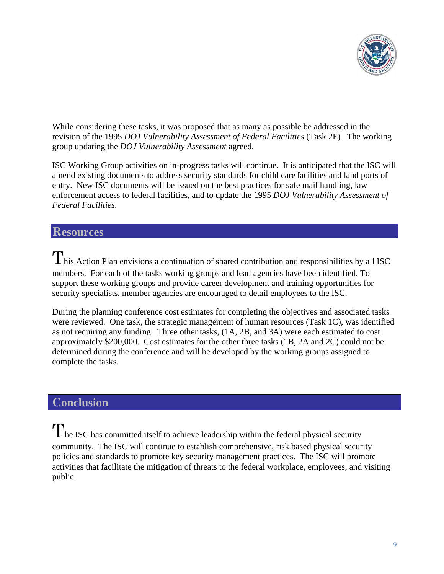

While considering these tasks, it was proposed that as many as possible be addressed in the revision of the 1995 *DOJ Vulnerability Assessment of Federal Facilities* (Task 2F)*.* The working group updating the *DOJ Vulnerability Assessment* agreed.

ISC Working Group activities on in-progress tasks will continue. It is anticipated that the ISC will amend existing documents to address security standards for child care facilities and land ports of entry. New ISC documents will be issued on the best practices for safe mail handling, law enforcement access to federal facilities, and to update the 1995 *DOJ Vulnerability Assessment of Federal Facilities*.

# **Resources**

 $T$ his Action Plan envisions a continuation of shared contribution and responsibilities by all ISC members. For each of the tasks working groups and lead agencies have been identified. To support these working groups and provide career development and training opportunities for security specialists, member agencies are encouraged to detail employees to the ISC.

During the planning conference cost estimates for completing the objectives and associated tasks were reviewed. One task, the strategic management of human resources (Task 1C), was identified as not requiring any funding. Three other tasks, (1A, 2B, and 3A) were each estimated to cost approximately \$200,000. Cost estimates for the other three tasks (1B, 2A and 2C) could not be determined during the conference and will be developed by the working groups assigned to complete the tasks.

# **Conclusion**

The ISC has committed itself to achieve leadership within the federal physical security community. The ISC will continue to establish comprehensive, risk based physical security policies and standards to promote key security management practices. The ISC will promote activities that facilitate the mitigation of threats to the federal workplace, employees, and visiting public.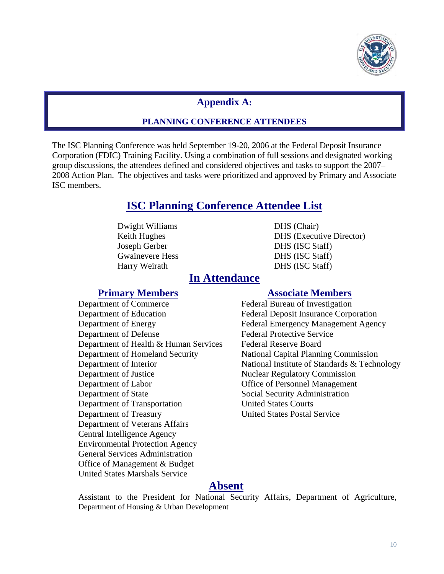

### **Appendix A:**

#### **PLANNING CONFERENCE ATTENDEES**

The ISC Planning Conference was held September 19-20, 2006 at the Federal Deposit Insurance Corporation (FDIC) Training Facility. Using a combination of full sessions and designated working group discussions, the attendees defined and considered objectives and tasks to support the 2007– 2008 Action Plan. The objectives and tasks were prioritized and approved by Primary and Associate ISC members.

# **ISC Planning Conference Attendee List**

 Dwight Williams DHS (Chair) Joseph Gerber DHS (ISC Staff) Gwainevere Hess DHS (ISC Staff) Harry Weirath DHS (ISC Staff)

Keith Hughes DHS (Executive Director)

# **In Attendance**

#### **Primary Members Associate Members**

Department of Commerce Federal Bureau of Investigation Department of Education Federal Deposit Insurance Corporation Department of Defense Federal Protective Service Department of Health & Human Services Federal Reserve Board Department of Homeland Security National Capital Planning Commission Department of Justice Nuclear Regulatory Commission Department of Labor Office of Personnel Management Department of State Social Security Administration Department of Transportation United States Courts Department of Treasury United States Postal Service Department of Veterans Affairs Central Intelligence Agency Environmental Protection Agency General Services Administration Office of Management & Budget United States Marshals Service

 Department of Energy Federal Emergency Management Agency Department of Interior National Institute of Standards & Technology

# **Absent**

Assistant to the President for National Security Affairs, Department of Agriculture, Department of Housing & Urban Development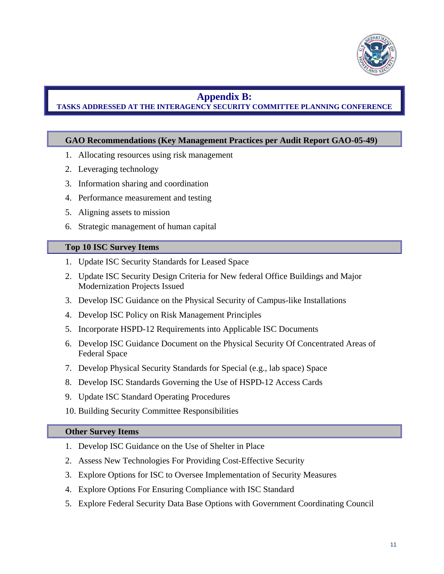

#### **Appendix B:**

#### **TASKS ADDRESSED AT THE INTERAGENCY SECURITY COMMITTEE PLANNING CONFERENCE**

#### **GAO Recommendations (Key Management Practices per Audit Report GAO-05-49)**

- 1. Allocating resources using risk management
- 2. Leveraging technology
- 3. Information sharing and coordination
- 4. Performance measurement and testing
- 5. Aligning assets to mission
- 6. Strategic management of human capital

#### **Top 10 ISC Survey Items**

- 1. Update ISC Security Standards for Leased Space
- 2. Update ISC Security Design Criteria for New federal Office Buildings and Major Modernization Projects Issued
- 3. Develop ISC Guidance on the Physical Security of Campus-like Installations
- 4. Develop ISC Policy on Risk Management Principles
- 5. Incorporate HSPD-12 Requirements into Applicable ISC Documents
- 6. Develop ISC Guidance Document on the Physical Security Of Concentrated Areas of Federal Space
- 7. Develop Physical Security Standards for Special (e.g., lab space) Space
- 8. Develop ISC Standards Governing the Use of HSPD-12 Access Cards
- 9. Update ISC Standard Operating Procedures
- 10. Building Security Committee Responsibilities

#### **Other Survey Items**

- 1. Develop ISC Guidance on the Use of Shelter in Place
- 2. Assess New Technologies For Providing Cost-Effective Security
- 3. Explore Options for ISC to Oversee Implementation of Security Measures
- 4. Explore Options For Ensuring Compliance with ISC Standard
- 5. Explore Federal Security Data Base Options with Government Coordinating Council